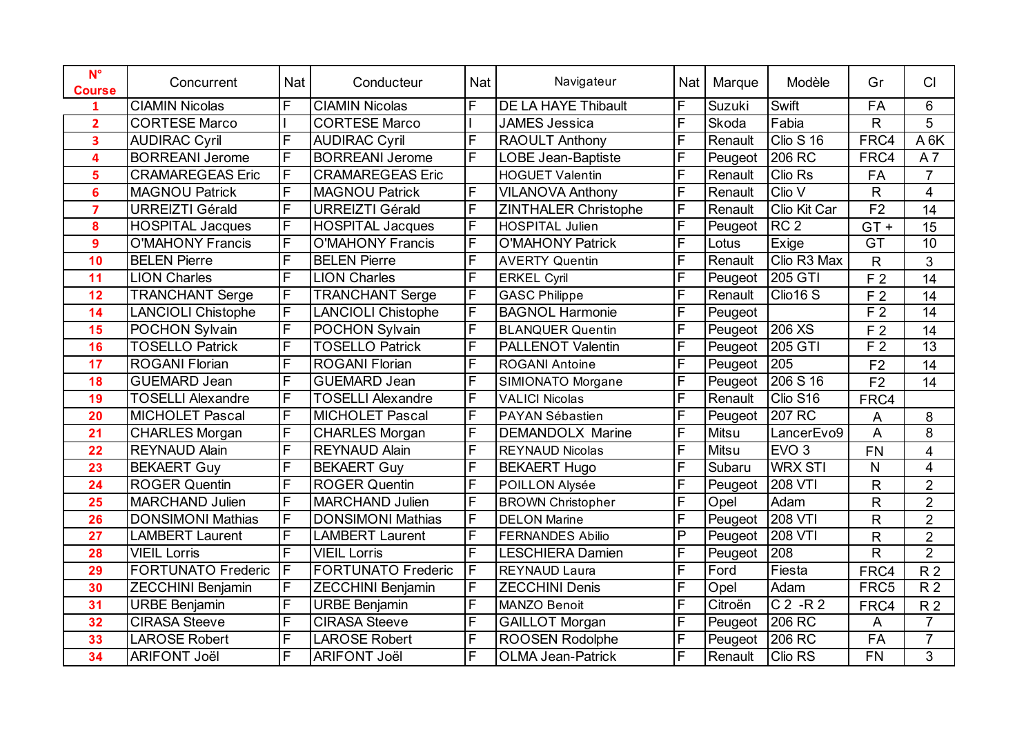| $N^{\circ}$<br><b>Course</b> | Concurrent                | Nat                     | Conducteur                | Nat                     | Navigateur                  |   | Nat  <br>Marque | Modèle                | Gr                      | CI              |
|------------------------------|---------------------------|-------------------------|---------------------------|-------------------------|-----------------------------|---|-----------------|-----------------------|-------------------------|-----------------|
|                              | <b>CIAMIN Nicolas</b>     | F                       | <b>CIAMIN Nicolas</b>     | F                       | F<br>DE LA HAYE Thibault    |   | Suzuki          | Swift                 | <b>FA</b>               | 6               |
| $\overline{2}$               | <b>CORTESE Marco</b>      |                         | <b>CORTESE Marco</b>      |                         | <b>JAMES Jessica</b>        | F | Skoda           | Fabia                 | R.                      | $\overline{5}$  |
| 3                            | <b>AUDIRAC Cyril</b>      | F                       | <b>AUDIRAC Cyril</b>      | F                       | <b>RAOULT Anthony</b>       | F | Renault         | Clio S 16             | FRC4                    | A 6K            |
| 4                            | <b>BORREANI Jerome</b>    | $\overline{F}$          | <b>BORREANI Jerome</b>    | F                       | <b>LOBE Jean-Baptiste</b>   | F | Peugeot         | 206 RC                | FRC4                    | A7              |
| 5                            | <b>CRAMAREGEAS Eric</b>   | F                       | <b>CRAMAREGEAS Eric</b>   |                         | <b>HOGUET Valentin</b>      | F | Renault         | Clio Rs               | FA                      | $\overline{7}$  |
| 6                            | <b>MAGNOU Patrick</b>     | F                       | <b>MAGNOU Patrick</b>     | F                       | <b>VILANOVA Anthony</b>     | F | Renault         | Clio V                | R                       | 4               |
| $\overline{7}$               | <b>URREIZTI Gérald</b>    | F                       | <b>URREIZTI Gérald</b>    | F                       | <b>ZINTHALER Christophe</b> | F | Renault         | Clio Kit Car          | F <sub>2</sub>          | 14              |
| 8                            | <b>HOSPITAL Jacques</b>   | F                       | <b>HOSPITAL Jacques</b>   | F                       | <b>HOSPITAL Julien</b>      | F | Peugeot         | RC <sub>2</sub>       | $GT +$                  | 15              |
| 9                            | <b>O'MAHONY Francis</b>   | F                       | <b>O'MAHONY Francis</b>   | F                       | <b>O'MAHONY Patrick</b>     | F | Lotus           | Exige                 | GT                      | 10              |
| 10                           | <b>BELEN</b> Pierre       | $\overline{F}$          | <b>BELEN Pierre</b>       | F                       | <b>AVERTY Quentin</b>       | F | Renault         | Clio R3 Max           | $\mathsf{R}$            | 3               |
| 11                           | <b>LION Charles</b>       | F                       | <b>LION Charles</b>       | F                       | <b>ERKEL Cyril</b>          | F | Peugeot         | <b>205 GTI</b>        | F <sub>2</sub>          | 14              |
| 12                           | <b>TRANCHANT Serge</b>    | F                       | <b>TRANCHANT Serge</b>    | $\overline{\mathsf{F}}$ | <b>GASC Philippe</b>        | F | Renault         | Clio16 <sub>S</sub>   | F <sub>2</sub>          | 14              |
| 14                           | <b>LANCIOLI Chistophe</b> | $\overline{\mathsf{F}}$ | <b>LANCIOLI Chistophe</b> | F                       | <b>BAGNOL Harmonie</b>      | F | Peugeot         |                       | F <sub>2</sub>          | 14              |
| 15                           | POCHON Sylvain            | F                       | <b>POCHON Sylvain</b>     | $\overline{F}$          | <b>BLANQUER Quentin</b>     | F | Peugeot         | $206$ XS              | F <sub>2</sub>          | 14              |
| 16                           | <b>TOSELLO Patrick</b>    | F                       | <b>TOSELLO Patrick</b>    | F                       | <b>PALLENOT Valentin</b>    | F | Peugeot         | <b>205 GTI</b>        | $\overline{F}$ 2        | $\overline{13}$ |
| 17                           | <b>ROGANI Florian</b>     | F                       | <b>ROGANI Florian</b>     | F                       | <b>ROGANI Antoine</b>       | F | Peugeot         | 205                   | F <sub>2</sub>          | 14              |
| 18                           | <b>GUEMARD Jean</b>       | F                       | <b>GUEMARD Jean</b>       | F                       | SIMIONATO Morgane           | F | Peugeot         | 206 S 16              | F <sub>2</sub>          | 14              |
| 19                           | <b>TOSELLI Alexandre</b>  | F                       | <b>TOSELLI Alexandre</b>  | F                       | <b>VALICI Nicolas</b>       | F | Renault         | Clio S16              | FRC4                    |                 |
| 20                           | <b>MICHOLET Pascal</b>    | F                       | <b>MICHOLET Pascal</b>    | F                       | PAYAN Sébastien             | F | Peugeot         | 207 RC                | A                       | 8               |
| 21                           | <b>CHARLES Morgan</b>     | F                       | <b>CHARLES Morgan</b>     | F                       | <b>DEMANDOLX Marine</b>     | F | Mitsu           | LancerEvo9            | A                       | 8               |
| 22                           | <b>REYNAUD Alain</b>      | F                       | <b>REYNAUD Alain</b>      | F                       | <b>REYNAUD Nicolas</b>      | F | <b>Mitsu</b>    | EVO <sub>3</sub>      | <b>FN</b>               | $\overline{4}$  |
| 23                           | <b>BEKAERT Guy</b>        | F                       | <b>BEKAERT Guy</b>        | F                       | <b>BEKAERT Hugo</b>         | F | Subaru          | <b>WRX STI</b>        | N                       | $\overline{4}$  |
| 24                           | <b>ROGER Quentin</b>      | F                       | <b>ROGER Quentin</b>      | F                       | POILLON Alysée              | F | Peugeot         | 208 VTI               | R                       | $\overline{2}$  |
| 25                           | <b>MARCHAND Julien</b>    | F                       | <b>MARCHAND Julien</b>    | F                       | <b>BROWN Christopher</b>    | F | Opel            | Adam                  | R                       | $\overline{2}$  |
| 26                           | <b>DONSIMONI Mathias</b>  | F                       | <b>DONSIMONI Mathias</b>  | F                       | <b>DELON Marine</b>         | F | Peugeot         | <b>208 VTI</b>        | R                       | $\overline{2}$  |
| 27                           | <b>LAMBERT Laurent</b>    | F                       | <b>LAMBERT Laurent</b>    | F                       | <b>FERNANDES Abilio</b>     | P | Peugeot         | 208 VTI               | R                       | $\overline{2}$  |
| 28                           | <b>VIEIL Lorris</b>       | $\overline{F}$          | <b>VIEIL Lorris</b>       | F                       | <b>LESCHIERA Damien</b>     | F | Peugeot         | 208                   | $\overline{\mathsf{R}}$ | $\overline{2}$  |
| 29                           | <b>FORTUNATO Frederic</b> | F                       | <b>FORTUNATO Frederic</b> | F                       | <b>REYNAUD Laura</b>        | F | Ford            | Fiesta                | FRC4                    | R <sub>2</sub>  |
| 30                           | <b>ZECCHINI Benjamin</b>  | F                       | <b>ZECCHINI Benjamin</b>  | F                       | <b>ZECCHINI Denis</b>       | F | Opel            | Adam                  | FRC5                    | R <sub>2</sub>  |
| 31                           | <b>URBE Benjamin</b>      | F                       | <b>URBE Benjamin</b>      | F                       | <b>MANZO Benoit</b>         | F | Citroën         | $\overline{C}$ 2 -R 2 | FRC4                    | R <sub>2</sub>  |
| 32                           | <b>CIRASA Steeve</b>      | F                       | <b>CIRASA Steeve</b>      | F                       | <b>GAILLOT Morgan</b>       | F | Peugeot         | 206 RC                | A                       | $\overline{7}$  |
| 33                           | <b>LAROSE Robert</b>      | F                       | <b>LAROSE Robert</b>      | F                       | ROOSEN Rodolphe             | F | Peugeot         | 206 RC                | FA                      | $\overline{7}$  |
| 34                           | <b>ARIFONT Joël</b>       | F                       | <b>ARIFONT Joël</b>       | F                       | <b>OLMA Jean-Patrick</b>    | F | Renault         | Clio RS               | FN                      | $\overline{3}$  |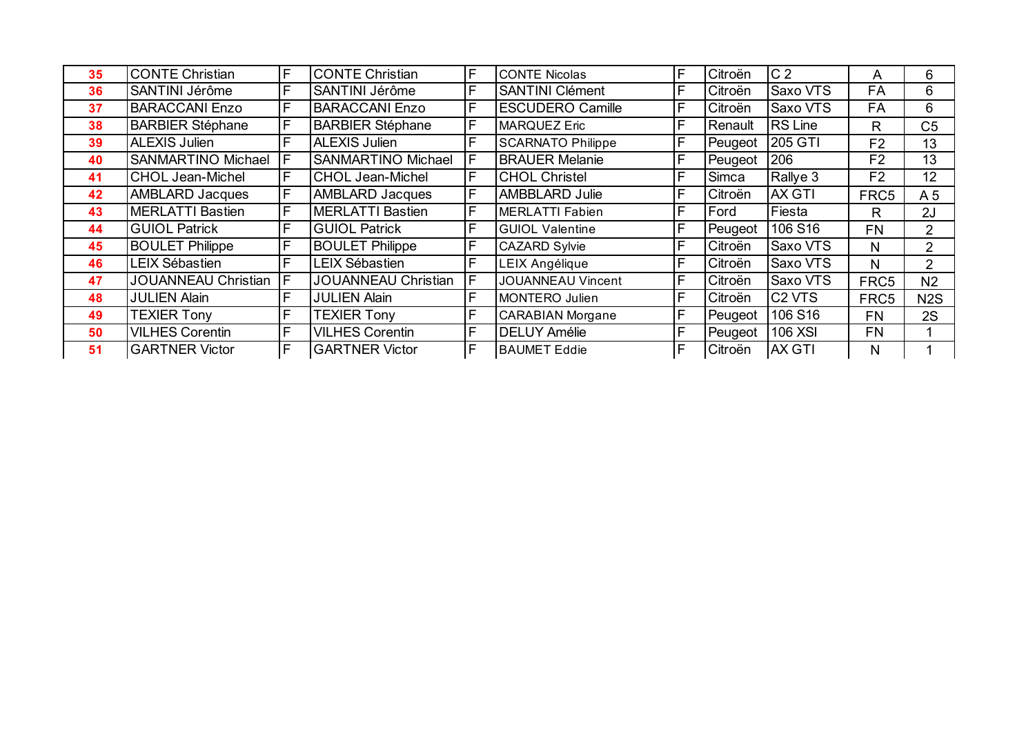| 35 | <b>CONTE Christian</b>     | F | <b>CONTE Christian</b>     | F | <b>CONTE Nicolas</b>     | F | Citroën | C <sub>2</sub>     | A              | 6                |
|----|----------------------------|---|----------------------------|---|--------------------------|---|---------|--------------------|----------------|------------------|
| 36 | SANTINI Jérôme             |   | SANTINI Jérôme             | F | <b>SANTINI Clément</b>   | F | Citroën | Saxo VTS           | FA             | 6                |
| 37 | <b>BARACCANI Enzo</b>      |   | <b>BARACCANI Enzo</b>      | F | <b>ESCUDERO Camille</b>  | F | Citroën | Saxo VTS           | FA             | 6                |
| 38 | <b>BARBIER Stéphane</b>    | F | <b>BARBIER Stéphane</b>    | F | <b>MARQUEZ Eric</b>      | F | Renault | <b>RS Line</b>     | R              | C <sub>5</sub>   |
| 39 | <b>ALEXIS Julien</b>       |   | <b>ALEXIS Julien</b>       | F | <b>SCARNATO Philippe</b> | F | Peugeot | 205 GTI            | F <sub>2</sub> | 13               |
| 40 | SANMARTINO Michael         | F | <b>SANMARTINO Michael</b>  | F | <b>BRAUER Melanie</b>    |   | Peugeot | 206                | F <sub>2</sub> | 13               |
| 41 | <b>CHOL Jean-Michel</b>    |   | <b>CHOL Jean-Michel</b>    | F | <b>CHOL Christel</b>     | F | Simca   | Rallye 3           | F <sub>2</sub> | 12               |
| 42 | <b>AMBLARD Jacques</b>     |   | <b>AMBLARD Jacques</b>     | F | <b>AMBBLARD Julie</b>    | F | Citroën | <b>AX GTI</b>      | FRC5           | A <sub>5</sub>   |
| 43 | <b>MERLATTI Bastien</b>    |   | <b>MERLATTI Bastien</b>    | F | <b>MERLATTI Fabien</b>   | F | Ford    | Fiesta             | R              | 2J               |
| 44 | <b>GUIOL Patrick</b>       |   | <b>GUIOL Patrick</b>       | F | <b>GUIOL Valentine</b>   |   | Peugeot | 106 S16            | <b>FN</b>      | $\overline{2}$   |
| 45 | <b>BOULET Philippe</b>     | E | <b>BOULET Philippe</b>     | F | <b>CAZARD Sylvie</b>     | F | Citroën | Saxo VTS           | N              | $\overline{2}$   |
| 46 | <b>LEIX Sébastien</b>      | F | <b>LEIX Sébastien</b>      | F | LEIX Angélique           |   | Citroën | Saxo VTS           | N              | $\overline{2}$   |
| 47 | <b>JOUANNEAU Christian</b> |   | <b>JOUANNEAU Christian</b> | F | <b>JOUANNEAU Vincent</b> | F | Citroën | Saxo VTS           | FRC5           | N <sub>2</sub>   |
| 48 | <b>JULIEN Alain</b>        |   | <b>JULIEN Alain</b>        | F | MONTERO Julien           | F | Citroën | C <sub>2</sub> VTS | FRC5           | N <sub>2</sub> S |
| 49 | <b>TEXIER Tony</b>         | F | <b>TEXIER Tony</b>         | F | <b>CARABIAN Morgane</b>  | F | Peugeot | 106 S16            | <b>FN</b>      | 2S               |
| 50 | <b>VILHES Corentin</b>     | F | <b>VILHES Corentin</b>     | F | <b>DELUY Amélie</b>      |   | Peugeot | <b>106 XSI</b>     | <b>FN</b>      |                  |
| 51 | <b>GARTNER Victor</b>      | F | <b>GARTNER Victor</b>      | F | <b>BAUMET Eddie</b>      | F | Citroën | <b>AX GTI</b>      | N              |                  |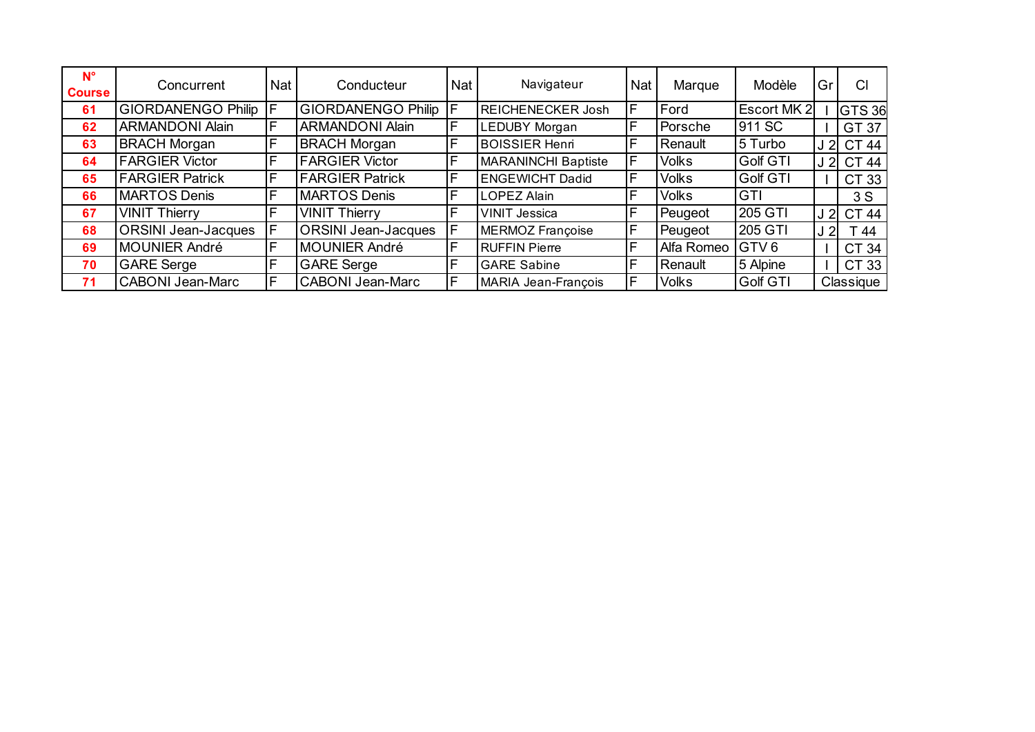| $N^{\circ}$<br><b>Course</b> | Concurrent                 | Nat | Conducteur                 | Nat | Navigateur                 | <b>Nat</b> | Marque       | Modèle           | Gr             | C <sub>l</sub> |
|------------------------------|----------------------------|-----|----------------------------|-----|----------------------------|------------|--------------|------------------|----------------|----------------|
| 61                           | <b>GIORDANENGO Philip</b>  | F   | <b>GIORDANENGO Philip</b>  | IF  | REICHENECKER Josh          | F          | Ford         | Escort MK 2      |                | <b>GTS 36</b>  |
| 62                           | <b>ARMANDONI Alain</b>     | F   | <b>ARMANDONI Alain</b>     | F   | <b>LEDUBY Morgan</b>       | F          | Porsche      | 911 SC           |                | GT 37          |
| 63                           | <b>BRACH Morgan</b>        |     | <b>BRACH Morgan</b>        | F   | <b>BOISSIER Henri</b>      | F          | Renault      | 5 Turbo          |                | <b>CT 44</b>   |
| 64                           | <b>FARGIER Victor</b>      | F   | <b>FARGIER Victor</b>      | F   | <b>MARANINCHI Baptiste</b> | F          | <b>Volks</b> | Golf GTI         | J <sub>2</sub> | <b>CT 44</b>   |
| 65                           | <b>FARGIER Patrick</b>     | F   | <b>FARGIER Patrick</b>     | F   | <b>ENGEWICHT Dadid</b>     | F          | <b>Volks</b> | Golf GTI         |                | CT 33          |
| 66                           | <b>MARTOS Denis</b>        |     | <b>MARTOS Denis</b>        | F   | <b>LOPEZ Alain</b>         | F          | Volks        | GTI              |                | 3S             |
| 67                           | <b>VINIT Thierry</b>       |     | <b>VINIT Thierry</b>       | F   | <b>VINIT Jessica</b>       | F          | Peugeot      | 205 GTI          |                | J 2 CT 44      |
| 68                           | <b>ORSINI Jean-Jacques</b> | F   | <b>ORSINI Jean-Jacques</b> | F   | MERMOZ Françoise           | F          | Peugeot      | 205 GTI          | J 2            | T 44           |
| 69                           | <b>MOUNIER André</b>       |     | <b>MOUNIER André</b>       | F   | <b>RUFFIN Pierre</b>       | F          | Alfa Romeo   | GTV <sub>6</sub> |                | CT 34          |
| 70                           | <b>GARE</b> Serge          |     | <b>GARE Serge</b>          | F   | <b>GARE Sabine</b>         | F          | Renault      | 5 Alpine         |                | CT 33          |
| 71                           | <b>CABONI Jean-Marc</b>    |     | <b>CABONI Jean-Marc</b>    | F   | MARIA Jean-François        | F          | <b>Volks</b> | <b>Golf GTI</b>  |                | Classique      |